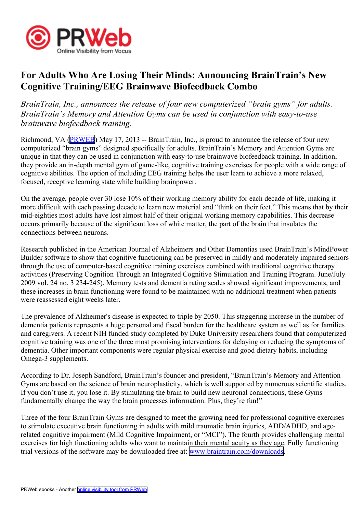

## **For Adults Who Are Losing Their Minds: Announcing BrainTrain's New Cognitive Training/EEG Brainwave Biofeedback Combo**

*BrainTrain, Inc., announces the release of four new computerized "brain gyms" for adults. BrainTrain's Memory and Attention Gyms can be used in conjunction with easy-to-use brainwave biofeedback training.*

Richmond, VA [\(PRWEB\)](http://www.prweb.com) May 17, 2013 -- BrainTrain, Inc., is proud to announce the release of four new computerized "brain gyms" designed specifically for adults. BrainTrain's Memory and Attention Gyms are unique in that they can be used in conjunction with easy-to-use brainwave biofeedback training. In addition, they provide an in-depth mental gym of game-like, cognitive training exercises for people with <sup>a</sup> wide range of cognitive abilities. The option of including EEG training helps the user learn to achieve <sup>a</sup> more relaxed, focused, receptive learning state while building brainpower.

On the average, people over 30 lose 10% of their working memory ability for each decade of life, making it more difficult with each passing decade to learn new material and "think on their feet." This means that by their mid-eighties most adults have lost almost half of their original working memory capabilities. This decrease occurs primarily because of the significant loss of white matter, the par<sup>t</sup> of the brain that insulates the connections between neurons.

Research published in the American Journal of Alzheimers and Other Dementias used BrainTrain's MindPower Builder software to show that cognitive functioning can be preserved in mildly and moderately impaired seniors through the use of computer-based cognitive training exercises combined with traditional cognitive therapy activities (Preserving Cognition Through an Integrated Cognitive Stimulation and Training Program. June/July 2009 vol. 24 no. 3 234-245). Memory tests and dementia rating scales showed significant improvements, and these increases in brain functioning were found to be maintained with no additional treatment when patients were reassessed eight weeks later.

The prevalence of Alzheimer's disease is expected to triple by 2050. This staggering increase in the number of dementia patients represents <sup>a</sup> huge personal and fiscal burden for the healthcare system as well as for families and caregivers. A recent NIH funded study completed by Duke University researchers found that computerized cognitive training was one of the three most promising interventions for delaying or reducing the symptoms of dementia. Other important components were regular physical exercise and good dietary habits, including Omega-3 supplements.

According to Dr. Joseph Sandford, BrainTrain's founder and president, "BrainTrain's Memory and Attention Gyms are based on the science of brain neuroplasticity, which is well supported by numerous scientific studies. If you don't use it, you lose it. By stimulating the brain to build new neuronal connections, these Gyms fundamentally change the way the brain processes information. Plus, they're fun!"

Three of the four BrainTrain Gyms are designed to meet the growing need for professional cognitive exercises to stimulate executive brain functioning in adults with mild traumatic brain injuries, ADD/ADHD, and agerelated cognitive impairment (Mild Cognitive Impairment, or "MCI"). The fourth provides challenging mental exercises for high functioning adults who want to maintain their mental acuity as they age. Fully functioning trial versions of the software may be downloaded free at: [www.braintrain.com/downloads](http://www.braintrain.com/downloads).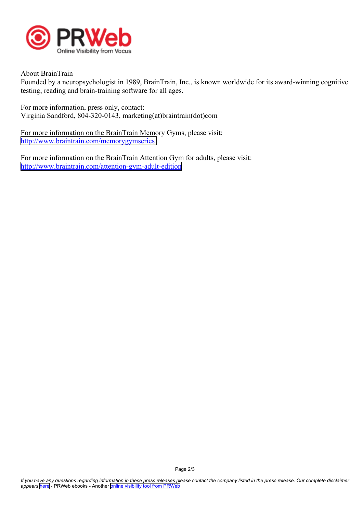

About BrainTrain

Founded by <sup>a</sup> neuropsychologist in 1989, BrainTrain, Inc., is known worldwide for its award-winning cognitive testing, reading and brain-training software for all ages.

For more information, press only, contact: Virginia Sandford, 804-320-0143, marketing(at)braintrain(dot)com

For more information on the BrainTrain Memory Gyms, please visit: <http://www.braintrain.com/memorygymseries>

For more information on the BrainTrain Attention Gym for adults, please visit: <http://www.braintrain.com/attention-gym-adult-edition>